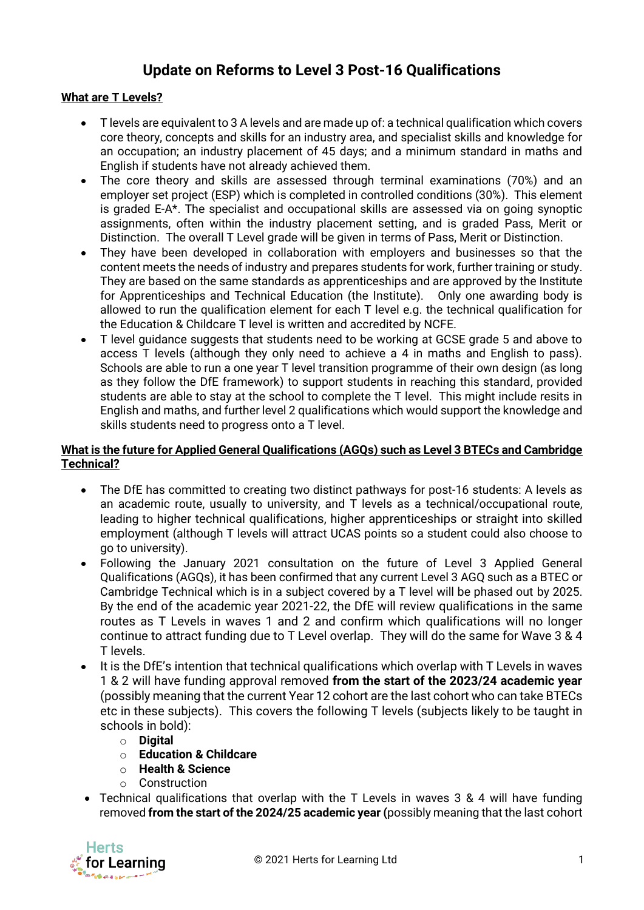## **Update on Reforms to Level 3 Post-16 Qualifications**

## **What are T Levels?**

- T levels are equivalent to 3 A levels and are made up of: a technical qualification which covers core theory, concepts and skills for an industry area, and specialist skills and knowledge for an occupation; an industry placement of 45 days; and a minimum standard in maths and English if students have not already achieved them.
- The core theory and skills are assessed through terminal examinations (70%) and an employer set project (ESP) which is completed in controlled conditions (30%). This element is graded E-A\*. The specialist and occupational skills are assessed via on going synoptic assignments, often within the industry placement setting, and is graded Pass, Merit or Distinction. The overall T Level grade will be given in terms of Pass, Merit or Distinction.
- They have been developed in collaboration with employers and businesses so that the content meets the needs of industry and prepares students for work, further training or study. They are based on the same standards as apprenticeships and are approved by the Institute for Apprenticeships and Technical Education (the Institute). Only one awarding body is allowed to run the qualification element for each T level e.g. the technical qualification for the Education & Childcare T level is written and accredited by NCFE.
- T level guidance suggests that students need to be working at GCSE grade 5 and above to access T levels (although they only need to achieve a 4 in maths and English to pass). Schools are able to run a one year T level transition programme of their own design (as long as they follow the DfE framework) to support students in reaching this standard, provided students are able to stay at the school to complete the T level. This might include resits in English and maths, and further level 2 qualifications which would support the knowledge and skills students need to progress onto a T level.

## **What is the future for Applied General Qualifications (AGQs) such as Level 3 BTECs and Cambridge Technical?**

- The DfE has committed to creating two distinct pathways for post-16 students: A levels as an academic route, usually to university, and T levels as a technical/occupational route, leading to higher technical qualifications, higher apprenticeships or straight into skilled employment (although T levels will attract UCAS points so a student could also choose to go to university).
- Following the January 2021 consultation on the future of Level 3 Applied General Qualifications (AGQs), it has been confirmed that any current Level 3 AGQ such as a BTEC or Cambridge Technical which is in a subject covered by a T level will be phased out by 2025. By the end of the academic year 2021-22, the DfE will review qualifications in the same routes as T Levels in waves 1 and 2 and confirm which qualifications will no longer continue to attract funding due to T Level overlap. They will do the same for Wave 3 & 4 T levels.
- It is the DfE's intention that technical qualifications which overlap with T Levels in waves 1 & 2 will have funding approval removed **from the start of the 2023/24 academic year** (possibly meaning that the current Year 12 cohort are the last cohort who can take BTECs etc in these subjects). This covers the following T levels (subjects likely to be taught in schools in bold):
	- o **Digital**
	- o **Education & Childcare**
	- o **Health & Science**
	- o Construction
- Technical qualifications that overlap with the T Levels in waves 3 & 4 will have funding removed **from the start of the 2024/25 academic year (**possibly meaning that the last cohort